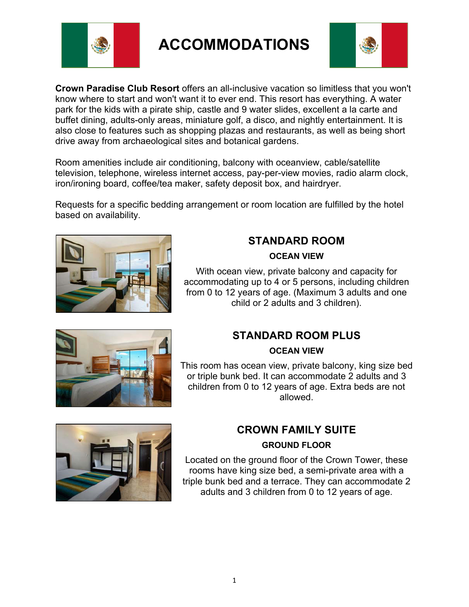

**ACCOMMODATIONS**



**Crown Paradise Club Resort** offers an all-inclusive vacation so limitless that you won't know where to start and won't want it to ever end. This resort has everything. A water park for the kids with a pirate ship, castle and 9 water slides, excellent a la carte and buffet dining, adults-only areas, miniature golf, a disco, and nightly entertainment. It is also close to features such as shopping plazas and restaurants, as well as being short drive away from archaeological sites and botanical gardens.

Room amenities include air conditioning, balcony with oceanview, cable/satellite television, telephone, wireless internet access, pay-per-view movies, radio alarm clock, iron/ironing board, coffee/tea maker, safety deposit box, and hairdryer.

Requests for a specific bedding arrangement or room location are fulfilled by the hotel based on availability.



## **STANDARD ROOM OCEAN VIEW**

With ocean view, private balcony and capacity for accommodating up to 4 or 5 persons, including children from 0 to 12 years of age. (Maximum 3 adults and one child or 2 adults and 3 children).



### **OCEAN VIEW**

This room has ocean view, private balcony, king size bed or triple bunk bed. It can accommodate 2 adults and 3 children from 0 to 12 years of age. Extra beds are not allowed.



### **CROWN FAMILY SUITE**

### **GROUND FLOOR**

Located on the ground floor of the Crown Tower, these rooms have king size bed, a semi-private area with a triple bunk bed and a terrace. They can accommodate 2 adults and 3 children from 0 to 12 years of age.